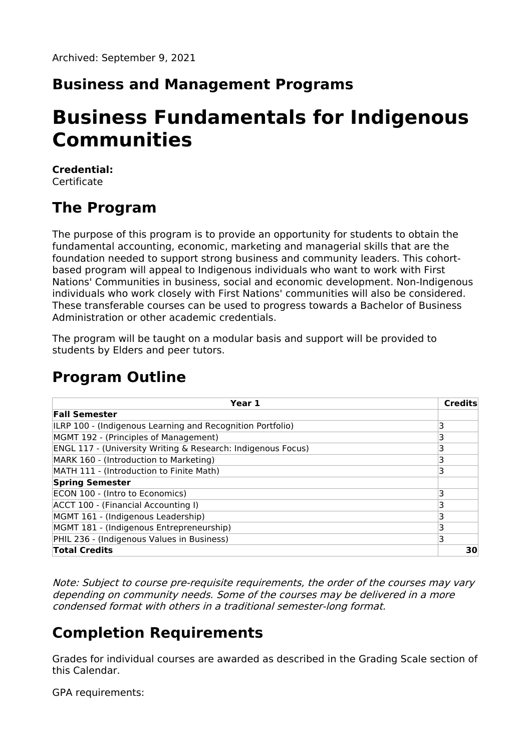#### **Business and Management Programs**

# **Business Fundamentals for Indigenous Communities**

#### **Credential:** Certificate

# **The Program**

The purpose of this program is to provide an opportunity for students to obtain the fundamental accounting, economic, marketing and managerial skills that are the foundation needed to support strong business and community leaders. This cohortbased program will appeal to Indigenous individuals who want to work with First Nations' Communities in business, social and economic development. Non-Indigenous individuals who work closely with First Nations' communities will also be considered. These transferable courses can be used to progress towards a Bachelor of Business Administration or other academic credentials.

The program will be taught on a modular basis and support will be provided to students by Elders and peer tutors.

## **Program Outline**

| Year 1                                                       | <b>Credits</b> |
|--------------------------------------------------------------|----------------|
| <b>Fall Semester</b>                                         |                |
| ILRP 100 - (Indigenous Learning and Recognition Portfolio)   | 3              |
| MGMT 192 - (Principles of Management)                        |                |
| ENGL 117 - (University Writing & Research: Indigenous Focus) |                |
| MARK 160 - (Introduction to Marketing)                       |                |
| MATH 111 - (Introduction to Finite Math)                     | 3              |
| <b>Spring Semester</b>                                       |                |
| ECON 100 - (Intro to Economics)                              |                |
| ACCT 100 - (Financial Accounting I)                          | ٦              |
| MGMT 161 - (Indigenous Leadership)                           |                |
| MGMT 181 - (Indigenous Entrepreneurship)                     | 3              |
| PHIL 236 - (Indigenous Values in Business)                   | 3              |
| <b>Total Credits</b>                                         | 30             |

Note: Subject to course pre‐requisite requirements, the order of the courses may vary depending on community needs. Some of the courses may be delivered in <sup>a</sup> more condensed format with others in <sup>a</sup> traditional semester‐long format.

### **Completion Requirements**

Grades for individual courses are awarded as described in the Grading Scale section of this Calendar.

GPA requirements: